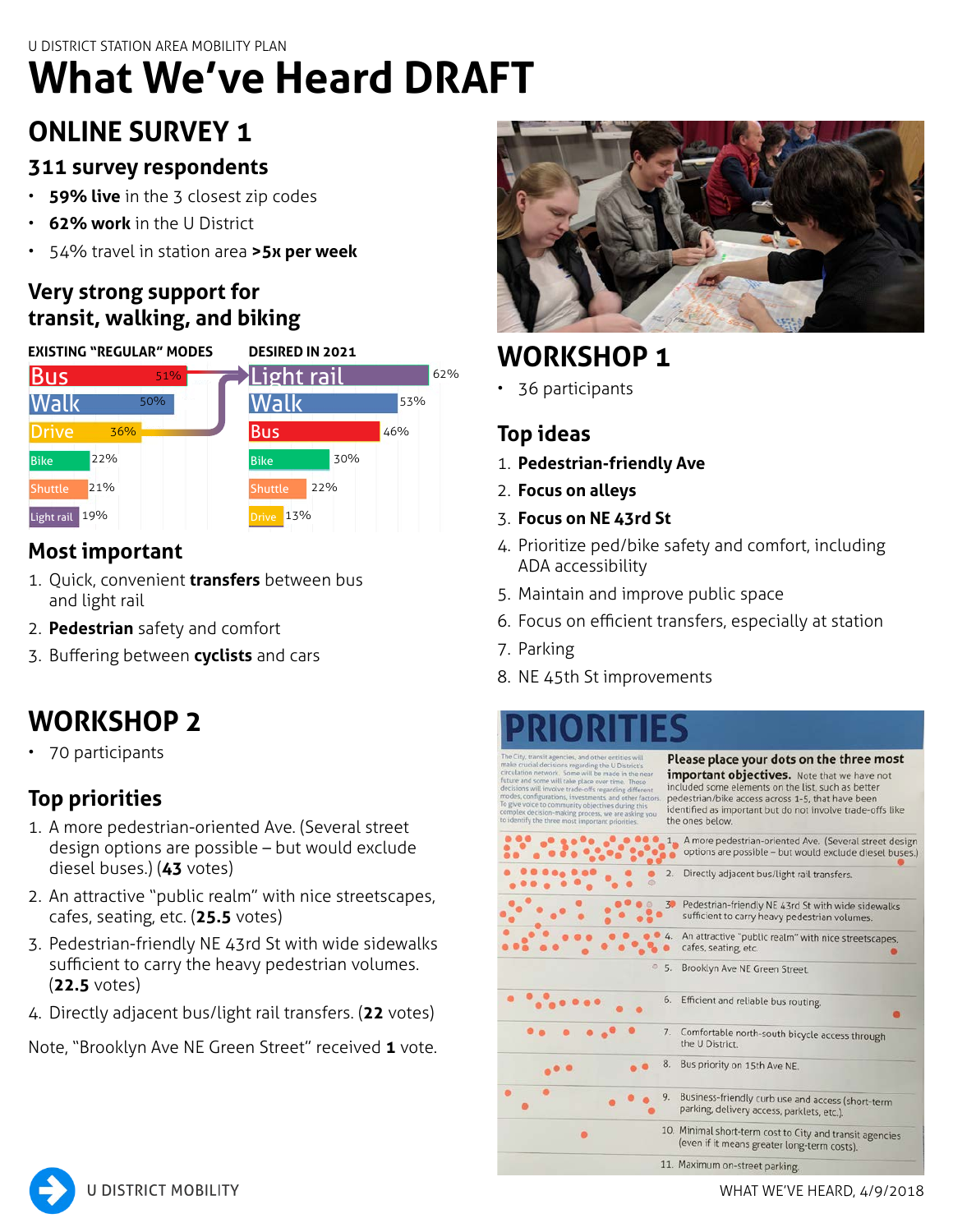# **What We've Heard DRAFT**

# **ONLINE SURVEY 1**

## **311 survey respondents**

- **59% live** in the 3 closest zip codes
- **62% work** in the U District
- 54% travel in station area **>5x per week**

## **Very strong support for transit, walking, and biking**

|                | <b>EXISTING "REGULAR" MODES</b> |     |                     | <b>DESIRED IN 2021</b> |     |  |
|----------------|---------------------------------|-----|---------------------|------------------------|-----|--|
| <b>Bus</b>     |                                 | 51% | Light rail          |                        | 62% |  |
| lWalk          | 50%                             |     | Walk                |                        | 53% |  |
| <b>Drive</b>   | 36%                             |     | <b>Bus</b>          |                        | 46% |  |
| <b>Bike</b>    | 22%                             |     | <b>Bike</b>         | 30%                    |     |  |
| <b>Shuttle</b> | 21%                             |     | <b>Shuttle</b>      | 22%                    |     |  |
| Light rail 19% |                                 |     | 13%<br><b>Drive</b> |                        |     |  |

# **Most important**

- 1. Quick, convenient **transfers** between bus and light rail
- 2. **Pedestrian** safety and comfort
- 3. Buffering between **cyclists** and cars

# **WORKSHOP 2**

• 70 participants

# **Top priorities**

- 1. A more pedestrian-oriented Ave. (Several street design options are possible – but would exclude diesel buses.) (**43** votes)
- 2. An attractive "public realm" with nice streetscapes, cafes, seating, etc. (**25.5** votes)
- 3. Pedestrian-friendly NE 43rd St with wide sidewalks sufficient to carry the heavy pedestrian volumes. (**22.5** votes)
- 4. Directly adjacent bus/light rail transfers. (**22** votes)

Note, "Brooklyn Ave NE Green Street" received **1** vote.



# **WORKSHOP 1**

• 36 participants

# **Top ideas**

- 1. **Pedestrian-friendly Ave**
- 2. **Focus on alleys**
- 3. **Focus on NE 43rd St**
- 4. Prioritize ped/bike safety and comfort, including ADA accessibility
- 5. Maintain and improve public space
- 6. Focus on efficient transfers, especially at station
- 7. Parking
- 8. NE 45th St improvements

s regarding the U District' ne will be made in the near ill take place over time. These<br>ve trade-offs regarding differe ts, and other factors. ng process, we are asking you<br>ost important priorities. **A BOOK A BOOK A BOOK A BOOK A BOOK AND A BOOK AND A BOOK AND A BOOK A BOOK AND A BOOK A BOOK A BOOK A BOOK A BOOK A BOOK A BOOK A BOOK A BOOK A BOOK A BOOK A BOOK A BOOK A BOOK A BOOK A BOOK A BOOK A BOOK A BOOK A BOOK A** 

Please place your dots on the three most important objectives. Note that we have not included some elements on the list, such as better<br>pedestrian/bike access across 1-5, that have been identified as important but do not involve trade-offs like the ones below.

|         | 2.<br>Directly adjacent bus/light rail transfers.                                                         |  |  |
|---------|-----------------------------------------------------------------------------------------------------------|--|--|
|         | Pedestrian-friendly NE 43rd St with wide sidewalks<br>39<br>sufficient to carry heavy pedestrian volumes. |  |  |
|         | 4.<br>An attractive "public realm" with nice streetscapes,<br>cafes, seating, etc.                        |  |  |
| $\circ$ | Brooklyn Ave NE Green Street.<br>5.                                                                       |  |  |
|         | 6. Efficient and reliable bus routing.                                                                    |  |  |
|         | 7.<br>Comfortable north-south bicycle access through<br>the U District.                                   |  |  |
|         | 8.<br>Bus priority on 15th Ave NE.                                                                        |  |  |
|         | 9.<br>Business-friendly curb use and access (short-term<br>parking, delivery access, parklets, etc.).     |  |  |
|         | 10. Minimal short-term cost to City and transit agencies<br>(even if it means greater long-term costs).   |  |  |
|         | 11. Maximum on-street parking.                                                                            |  |  |